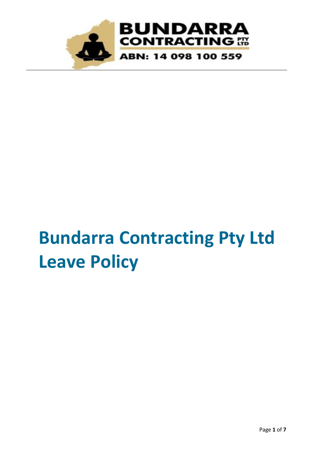

# **Bundarra Contracting Pty Ltd Leave Policy**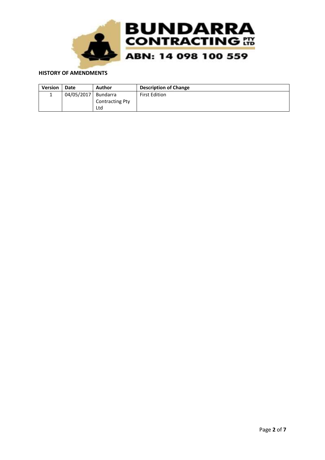

#### **HISTORY OF AMENDMENTS**

| <b>Version</b> | Date       | Author                 | <b>Description of Change</b> |
|----------------|------------|------------------------|------------------------------|
|                | 04/05/2017 | Bundarra               | <b>First Edition</b>         |
|                |            | <b>Contracting Pty</b> |                              |
|                |            | Ltd                    |                              |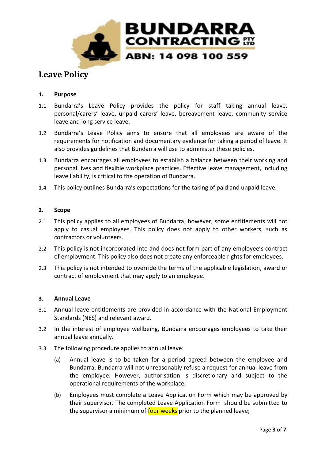

# **Leave Policy**

# **1. Purpose**

- 1.1 Bundarra's Leave Policy provides the policy for staff taking annual leave, personal/carers' leave, unpaid carers' leave, bereavement leave, community service leave and long service leave.
- 1.2 Bundarra's Leave Policy aims to ensure that all employees are aware of the requirements for notification and documentary evidence for taking a period of leave. It also provides guidelines that Bundarra will use to administer these policies.
- 1.3 Bundarra encourages all employees to establish a balance between their working and personal lives and flexible workplace practices. Effective leave management, including leave liability, is critical to the operation of Bundarra.
- 1.4 This policy outlines Bundarra's expectations for the taking of paid and unpaid leave.

# **2. Scope**

- 2.1 This policy applies to all employees of Bundarra; however, some entitlements will not apply to casual employees. This policy does not apply to other workers, such as contractors or volunteers.
- 2.2 This policy is not incorporated into and does not form part of any employee's contract of employment. This policy also does not create any enforceable rights for employees.
- 2.3 This policy is not intended to override the terms of the applicable legislation, award or contract of employment that may apply to an employee.

#### **3. Annual Leave**

- 3.1 Annual leave entitlements are provided in accordance with the National Employment Standards (NES) and relevant award.
- 3.2 In the interest of employee wellbeing, Bundarra encourages employees to take their annual leave annually.
- 3.3 The following procedure applies to annual leave:
	- (a) Annual leave is to be taken for a period agreed between the employee and Bundarra. Bundarra will not unreasonably refuse a request for annual leave from the employee. However, authorisation is discretionary and subject to the operational requirements of the workplace.
	- (b) Employees must complete a Leave Application Form which may be approved by their supervisor. The completed Leave Application Form should be submitted to the supervisor a minimum of four weeks prior to the planned leave;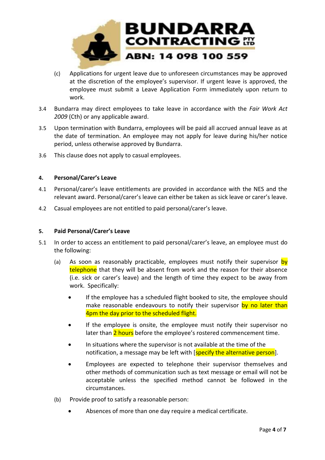

- (c) Applications for urgent leave due to unforeseen circumstances may be approved at the discretion of the employee's supervisor. If urgent leave is approved, the employee must submit a Leave Application Form immediately upon return to work.
- 3.4 Bundarra may direct employees to take leave in accordance with the *Fair Work Act 2009* (Cth) or any applicable award.
- 3.5 Upon termination with Bundarra, employees will be paid all accrued annual leave as at the date of termination. An employee may not apply for leave during his/her notice period, unless otherwise approved by Bundarra.
- 3.6 This clause does not apply to casual employees.

# **4. Personal/Carer's Leave**

- 4.1 Personal/carer's leave entitlements are provided in accordance with the NES and the relevant award. Personal/carer's leave can either be taken as sick leave or carer's leave.
- 4.2 Casual employees are not entitled to paid personal/carer's leave.

#### **5. Paid Personal/Carer's Leave**

- 5.1 In order to access an entitlement to paid personal/carer's leave, an employee must do the following:
	- (a) As soon as reasonably practicable, employees must notify their supervisor by telephone that they will be absent from work and the reason for their absence (i.e. sick or carer's leave) and the length of time they expect to be away from work. Specifically:
		- If the employee has a scheduled flight booked to site, the employee should make reasonable endeavours to notify their supervisor by no later than 4pm the day prior to the scheduled flight.
		- If the employee is onsite, the employee must notify their supervisor no later than 2 hours before the employee's rostered commencement time.
		- In situations where the supervisor is not available at the time of the notification, a message may be left with [specify the alternative person].
		- Employees are expected to telephone their supervisor themselves and other methods of communication such as text message or email will not be acceptable unless the specified method cannot be followed in the circumstances.
	- (b) Provide proof to satisfy a reasonable person:
		- Absences of more than one day require a medical certificate.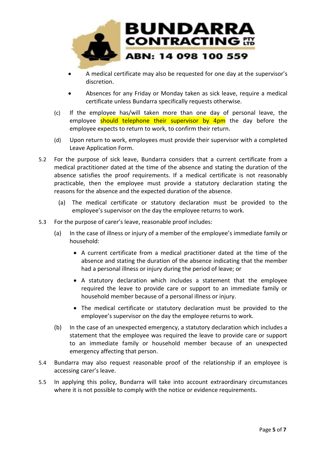

- A medical certificate may also be requested for one day at the supervisor's discretion.
- Absences for any Friday or Monday taken as sick leave, require a medical certificate unless Bundarra specifically requests otherwise.
- (c) If the employee has/will taken more than one day of personal leave, the employee should telephone their supervisor by 4pm the day before the employee expects to return to work, to confirm their return.
- (d) Upon return to work, employees must provide their supervisor with a completed Leave Application Form.
- 5.2 For the purpose of sick leave, Bundarra considers that a current certificate from a medical practitioner dated at the time of the absence and stating the duration of the absence satisfies the proof requirements. If a medical certificate is not reasonably practicable, then the employee must provide a statutory declaration stating the reasons for the absence and the expected duration of the absence.
	- (a) The medical certificate or statutory declaration must be provided to the employee's supervisor on the day the employee returns to work.
- 5.3 For the purpose of carer's leave, reasonable proof includes:
	- (a) In the case of illness or injury of a member of the employee's immediate family or household:
		- A current certificate from a medical practitioner dated at the time of the absence and stating the duration of the absence indicating that the member had a personal illness or injury during the period of leave; or
		- A statutory declaration which includes a statement that the employee required the leave to provide care or support to an immediate family or household member because of a personal illness or injury.
		- The medical certificate or statutory declaration must be provided to the employee's supervisor on the day the employee returns to work.
	- (b) In the case of an unexpected emergency, a statutory declaration which includes a statement that the employee was required the leave to provide care or support to an immediate family or household member because of an unexpected emergency affecting that person.
- 5.4 Bundarra may also request reasonable proof of the relationship if an employee is accessing carer's leave.
- 5.5 In applying this policy, Bundarra will take into account extraordinary circumstances where it is not possible to comply with the notice or evidence requirements.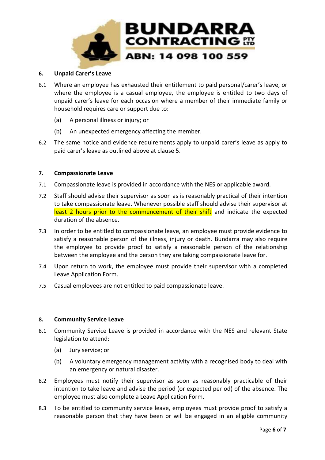

#### **6. Unpaid Carer's Leave**

- 6.1 Where an employee has exhausted their entitlement to paid personal/carer's leave, or where the employee is a casual employee, the employee is entitled to two days of unpaid carer's leave for each occasion where a member of their immediate family or household requires care or support due to:
	- (a) A personal illness or injury; or
	- (b) An unexpected emergency affecting the member.
- 6.2 The same notice and evidence requirements apply to unpaid carer's leave as apply to paid carer's leave as outlined above at clause 5.

#### **7. Compassionate Leave**

- 7.1 Compassionate leave is provided in accordance with the NES or applicable award.
- 7.2 Staff should advise their supervisor as soon as is reasonably practical of their intention to take compassionate leave. Whenever possible staff should advise their supervisor at least 2 hours prior to the commencement of their shift and indicate the expected duration of the absence.
- 7.3 In order to be entitled to compassionate leave, an employee must provide evidence to satisfy a reasonable person of the illness, injury or death. Bundarra may also require the employee to provide proof to satisfy a reasonable person of the relationship between the employee and the person they are taking compassionate leave for.
- 7.4 Upon return to work, the employee must provide their supervisor with a completed Leave Application Form.
- 7.5 Casual employees are not entitled to paid compassionate leave.

#### **8. Community Service Leave**

- 8.1 Community Service Leave is provided in accordance with the NES and relevant State legislation to attend:
	- (a) Jury service; or
	- (b) A voluntary emergency management activity with a recognised body to deal with an emergency or natural disaster.
- 8.2 Employees must notify their supervisor as soon as reasonably practicable of their intention to take leave and advise the period (or expected period) of the absence. The employee must also complete a Leave Application Form.
- 8.3 To be entitled to community service leave, employees must provide proof to satisfy a reasonable person that they have been or will be engaged in an eligible community